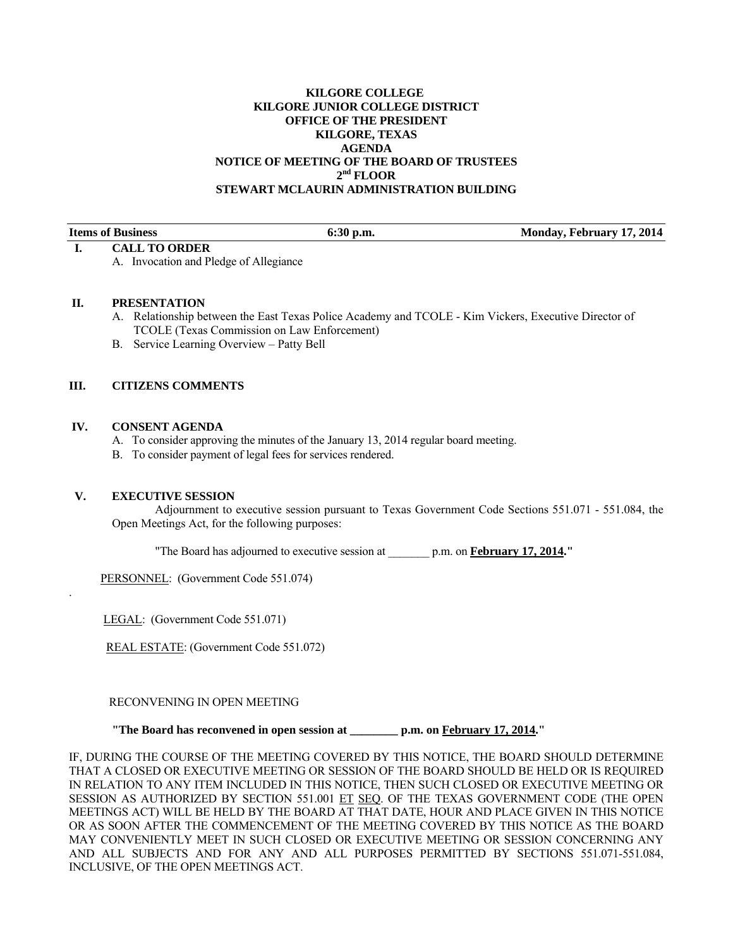# **KILGORE COLLEGE KILGORE JUNIOR COLLEGE DISTRICT OFFICE OF THE PRESIDENT KILGORE, TEXAS AGENDA NOTICE OF MEETING OF THE BOARD OF TRUSTEES 2nd FLOOR STEWART MCLAURIN ADMINISTRATION BUILDING**

|  | <b>Items of Business</b> |
|--|--------------------------|
|--|--------------------------|

#### **I. CALL TO ORDER**

A. Invocation and Pledge of Allegiance

## **II. PRESENTATION**

A. Relationship between the East Texas Police Academy and TCOLE - Kim Vickers, Executive Director of TCOLE (Texas Commission on Law Enforcement)

**Items of Business 6:30 p.m.** Monday, February 17, 2014

B. Service Learning Overview – Patty Bell

# **III. CITIZENS COMMENTS**

## **IV. CONSENT AGENDA**

- A. To consider approving the minutes of the January 13, 2014 regular board meeting.
- B. To consider payment of legal fees for services rendered.

# **V. EXECUTIVE SESSION**

.

 Adjournment to executive session pursuant to Texas Government Code Sections 551.071 - 551.084, the Open Meetings Act, for the following purposes:

"The Board has adjourned to executive session at \_\_\_\_\_\_\_ p.m. on **February 17, 2014."** 

PERSONNEL: (Government Code 551.074)

LEGAL: (Government Code 551.071)

REAL ESTATE: (Government Code 551.072)

RECONVENING IN OPEN MEETING

#### **"The Board has reconvened in open session at \_\_\_\_\_\_\_\_ p.m. on February 17, 2014."**

IF, DURING THE COURSE OF THE MEETING COVERED BY THIS NOTICE, THE BOARD SHOULD DETERMINE THAT A CLOSED OR EXECUTIVE MEETING OR SESSION OF THE BOARD SHOULD BE HELD OR IS REQUIRED IN RELATION TO ANY ITEM INCLUDED IN THIS NOTICE, THEN SUCH CLOSED OR EXECUTIVE MEETING OR SESSION AS AUTHORIZED BY SECTION 551.001 ET SEQ. OF THE TEXAS GOVERNMENT CODE (THE OPEN MEETINGS ACT) WILL BE HELD BY THE BOARD AT THAT DATE, HOUR AND PLACE GIVEN IN THIS NOTICE OR AS SOON AFTER THE COMMENCEMENT OF THE MEETING COVERED BY THIS NOTICE AS THE BOARD MAY CONVENIENTLY MEET IN SUCH CLOSED OR EXECUTIVE MEETING OR SESSION CONCERNING ANY AND ALL SUBJECTS AND FOR ANY AND ALL PURPOSES PERMITTED BY SECTIONS 551.071-551.084, INCLUSIVE, OF THE OPEN MEETINGS ACT.